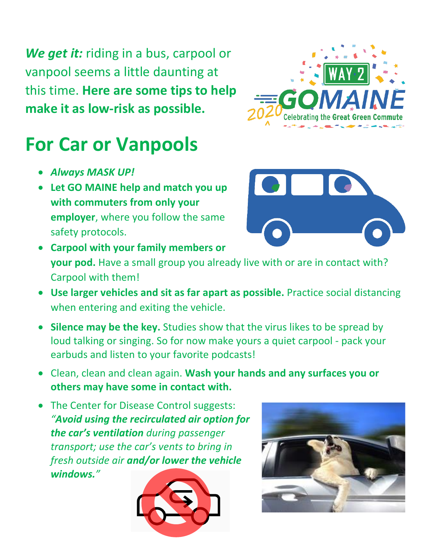*We get it:* riding in a bus, carpool or vanpool seems a little daunting at this time. **Here are some tips to help make it as low-risk as possible.**



## **For Car or Vanpools**

- *Always MASK UP!*
- **Let GO MAINE help and match you up with commuters from only your employer**, where you follow the same safety protocols.



- **Carpool with your family members or your pod.** Have a small group you already live with or are in contact with? Carpool with them!
- **Use larger vehicles and sit as far apart as possible.** Practice social distancing when entering and exiting the vehicle.
- **Silence may be the key.** Studies show that the virus likes to be spread by loud talking or singing. So for now make yours a quiet carpool - pack your earbuds and listen to your favorite podcasts!
- Clean, clean and clean again. **Wash your hands and any surfaces you or others may have some in contact with.**
- The Center for Disease Control suggests: *"Avoid using the recirculated air option for the car's ventilation during passenger transport; use the car's vents to bring in fresh outside air and/or lower the vehicle windows."*